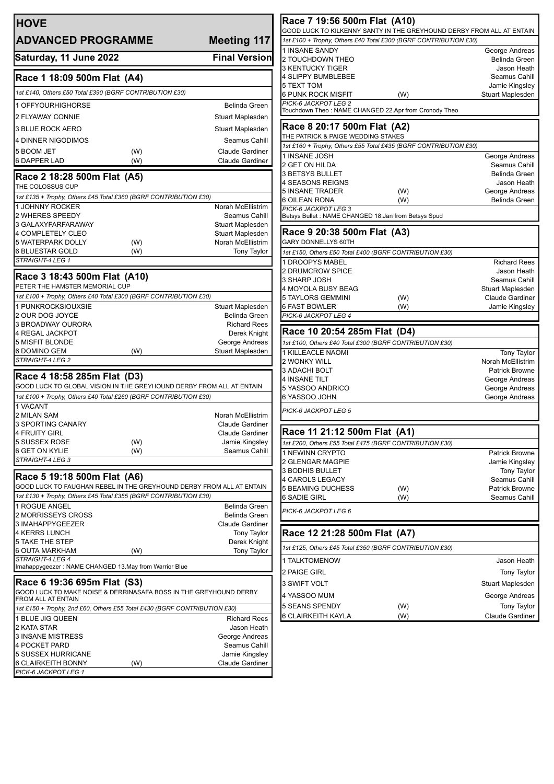| <b>HOVE</b>                                                                                                                              |            |                                         | Race 7 19:56 500m Flat (A10)                                                                                                              |            |                                            |
|------------------------------------------------------------------------------------------------------------------------------------------|------------|-----------------------------------------|-------------------------------------------------------------------------------------------------------------------------------------------|------------|--------------------------------------------|
| <b>ADVANCED PROGRAMME</b>                                                                                                                |            | Meeting 117                             | GOOD LUCK TO KILKENNY SANTY IN THE GREYHOUND DERBY FROM ALL AT ENTAIN<br>1st £100 + Trophy, Others £40 Total £300 (BGRF CONTRIBUTION £30) |            |                                            |
|                                                                                                                                          |            |                                         | 1 INSANE SANDY                                                                                                                            |            | George Andreas                             |
| Saturday, 11 June 2022                                                                                                                   |            | <b>Final Version</b>                    | 2 TOUCHDOWN THEO                                                                                                                          |            | Belinda Green                              |
|                                                                                                                                          |            |                                         | <b>3 KENTUCKY TIGER</b><br>4 SLIPPY BUMBLEBEE                                                                                             |            | Jason Heath<br>Seamus Cahill               |
| Race 1 18:09 500m Flat (A4)                                                                                                              |            |                                         | 5 TEXT TOM                                                                                                                                |            | Jamie Kingsley                             |
| 1st £140, Others £50 Total £390 (BGRF CONTRIBUTION £30)                                                                                  |            |                                         | <b>6 PUNK ROCK MISFIT</b>                                                                                                                 | (W)        | Stuart Maplesden                           |
| 1 OFFYOURHIGHORSE                                                                                                                        |            | <b>Belinda Green</b>                    | PICK-6 JACKPOT LEG 2<br>Touchdown Theo: NAME CHANGED 22.Apr from Cronody Theo                                                             |            |                                            |
| 2 FLYAWAY CONNIE                                                                                                                         |            | Stuart Maplesden                        |                                                                                                                                           |            |                                            |
| 3 BLUE ROCK AERO                                                                                                                         |            | Stuart Maplesden                        | Race 8 20:17 500m Flat (A2)<br>THE PATRICK & PAIGE WEDDING STAKES                                                                         |            |                                            |
| <b>4 DINNER NIGODIMOS</b>                                                                                                                |            | Seamus Cahill                           | 1st £160 + Trophy, Others £55 Total £435 (BGRF CONTRIBUTION £30)                                                                          |            |                                            |
| 5 BOOM JET                                                                                                                               | (W)        | <b>Claude Gardiner</b>                  | 1 INSANE JOSH                                                                                                                             |            | George Andreas                             |
| 6 DAPPER LAD                                                                                                                             | (W)        | <b>Claude Gardiner</b>                  | 2 GET ON HILDA                                                                                                                            |            | Seamus Cahill                              |
| Race 2 18:28 500m Flat (A5)                                                                                                              |            |                                         | 3 BETSYS BULLET<br>4 SEASONS REIGNS                                                                                                       |            | <b>Belinda Green</b><br>Jason Heath        |
| THE COLOSSUS CUP                                                                                                                         |            |                                         | 5 INSANE TRADER                                                                                                                           | (W)        | George Andreas                             |
| 1st £135 + Trophy, Others £45 Total £360 (BGRF CONTRIBUTION £30)<br>1 JOHNNY ROCKER                                                      |            | Norah McEllistrim                       | 6 OILEAN RONA                                                                                                                             | (W)        | <b>Belinda Green</b>                       |
| 2 WHERES SPEEDY                                                                                                                          |            | Seamus Cahill                           | PICK-6 JACKPOT LEG 3<br>Betsys Bullet: NAME CHANGED 18.Jan from Betsys Spud                                                               |            |                                            |
| 3 GALAXYFARFARAWAY                                                                                                                       |            | Stuart Maplesden                        |                                                                                                                                           |            |                                            |
| <b>4 COMPLETELY CLEO</b>                                                                                                                 |            | Stuart Maplesden                        | Race 9 20:38 500m Flat (A3)<br><b>GARY DONNELLYS 60TH</b>                                                                                 |            |                                            |
| 5 WATERPARK DOLLY<br><b>6 BLUESTAR GOLD</b>                                                                                              | (W)<br>(W) | Norah McEllistrim<br><b>Tony Taylor</b> | 1st £150, Others £50 Total £400 (BGRF CONTRIBUTION £30)                                                                                   |            |                                            |
| STRAIGHT-4 LEG 1                                                                                                                         |            |                                         | 1 DROOPYS MABEL                                                                                                                           |            | <b>Richard Rees</b>                        |
| Race 3 18:43 500m Flat (A10)                                                                                                             |            |                                         | <b>2 DRUMCROW SPICE</b>                                                                                                                   |            | Jason Heath                                |
| PETER THE HAMSTER MEMORIAL CUP                                                                                                           |            |                                         | 3 SHARP JOSH                                                                                                                              |            | Seamus Cahill                              |
| 1st £100 + Trophy, Others £40 Total £300 (BGRF CONTRIBUTION £30)                                                                         |            |                                         | 4 MOYOLA BUSY BEAG<br><b>5 TAYLORS GEMMINI</b>                                                                                            | (W)        | Stuart Maplesden<br><b>Claude Gardiner</b> |
| 1 PUNKROCKSIOUXSIE                                                                                                                       |            | Stuart Maplesden                        | <b>6 FAST BOWLER</b>                                                                                                                      | (W)        | Jamie Kingsley                             |
| 2 OUR DOG JOYCE                                                                                                                          |            | <b>Belinda Green</b>                    | PICK-6 JACKPOT LEG 4                                                                                                                      |            |                                            |
| 3 BROADWAY OURORA<br><b>4 REGAL JACKPOT</b>                                                                                              |            | <b>Richard Rees</b><br>Derek Knight     | Race 10 20:54 285m Flat (D4)                                                                                                              |            |                                            |
| 5 MISFIT BLONDE                                                                                                                          |            | George Andreas                          | 1st £100, Others £40 Total £300 (BGRF CONTRIBUTION £30)                                                                                   |            |                                            |
| 6 DOMINO GEM                                                                                                                             | (W)        | Stuart Maplesden                        | <b>1 KILLEACLE NAOMI</b>                                                                                                                  |            | Tony Taylor                                |
| STRAIGHT-4 LEG 2                                                                                                                         |            |                                         | 2 WONKY WILL                                                                                                                              |            | Norah McEllistrim                          |
| Race 4 18:58 285m Flat (D3)                                                                                                              |            |                                         | 3 ADACHI BOLT<br>4 INSANE TILT                                                                                                            |            | <b>Patrick Browne</b><br>George Andreas    |
| GOOD LUCK TO GLOBAL VISION IN THE GREYHOUND DERBY FROM ALL AT ENTAIN                                                                     |            |                                         | 5 YASSOO ANDRICO                                                                                                                          |            | George Andreas                             |
| 1st £100 + Trophy, Others £40 Total £260 (BGRF CONTRIBUTION £30)                                                                         |            |                                         | 6 YASSOO JOHN                                                                                                                             |            | George Andreas                             |
| 1 VACANT<br>2 MILAN SAM                                                                                                                  |            | Norah McEllistrim                       | PICK-6 JACKPOT LEG 5                                                                                                                      |            |                                            |
| <b>3 SPORTING CANARY</b>                                                                                                                 |            | Claude Gardiner                         |                                                                                                                                           |            |                                            |
| 4 FRUITY GIRL                                                                                                                            |            | Claude Gardiner                         | Race 11 21:12 500m Flat (A1)                                                                                                              |            |                                            |
| 5 SUSSEX ROSE                                                                                                                            | (W)        | Jamie Kingsley<br>Seamus Cahill         | 1st £200, Others £55 Total £475 (BGRF CONTRIBUTION £30)                                                                                   |            |                                            |
| 6 GET ON KYLIE<br>STRAIGHT-4 LEG 3                                                                                                       | (W)        |                                         | 1 NEWINN CRYPTO<br>2 GLENGAR MAGPIE                                                                                                       |            | <b>Patrick Browne</b><br>Jamie Kingsley    |
|                                                                                                                                          |            |                                         | <b>3 BODHIS BULLET</b>                                                                                                                    |            | <b>Tony Taylor</b>                         |
| Race 5 19:18 500m Flat (A6)                                                                                                              |            |                                         | 4 CAROLS LEGACY                                                                                                                           |            | Seamus Cahill                              |
| GOOD LUCK TO FAUGHAN REBEL IN THE GREYHOUND DERBY FROM ALL AT ENTAIN<br>1st £130 + Trophy, Others £45 Total £355 (BGRF CONTRIBUTION £30) |            |                                         | 5 BEAMING DUCHESS<br>6 SADIE GIRL                                                                                                         | (W)<br>(W) | <b>Patrick Browne</b><br>Seamus Cahill     |
| 1 ROGUE ANGEL                                                                                                                            |            | <b>Belinda Green</b>                    |                                                                                                                                           |            |                                            |
| 2 MORRISSEYS CROSS                                                                                                                       |            | Belinda Green                           | PICK-6 JACKPOT LEG 6                                                                                                                      |            |                                            |
| 3 IMAHAPPYGEEZER<br><b>4 KERRS LUNCH</b>                                                                                                 |            | <b>Claude Gardiner</b>                  |                                                                                                                                           |            |                                            |
| <b>5 TAKE THE STEP</b>                                                                                                                   |            | <b>Tony Taylor</b><br>Derek Knight      | Race 12 21:28 500m Flat (A7)                                                                                                              |            |                                            |
| 6 OUTA MARKHAM                                                                                                                           | (W)        | Tony Taylor                             | 1st £125, Others £45 Total £350 (BGRF CONTRIBUTION £30)                                                                                   |            |                                            |
| STRAIGHT-4 LEG 4<br>Imahappygeezer: NAME CHANGED 13. May from Warrior Blue                                                               |            |                                         | 1 TALKTOMENOW                                                                                                                             |            | Jason Heath                                |
|                                                                                                                                          |            |                                         | 2 PAIGE GIRL                                                                                                                              |            | <b>Tony Taylor</b>                         |
| Race 6 19:36 695m Flat (S3)                                                                                                              |            |                                         | 3 SWIFT VOLT                                                                                                                              |            | Stuart Maplesden                           |
| GOOD LUCK TO MAKE NOISE & DERRINASAFA BOSS IN THE GREYHOUND DERBY<br>FROM ALL AT ENTAIN                                                  |            |                                         | 4 YASSOO MUM                                                                                                                              |            | George Andreas                             |
| 1st £150 + Trophy, 2nd £60, Others £55 Total £430 (BGRF CONTRIBUTION £30)                                                                |            |                                         | 5 SEANS SPENDY                                                                                                                            | (W)        | <b>Tony Taylor</b>                         |
| 1 BLUE JIG QUEEN                                                                                                                         |            | <b>Richard Rees</b>                     | 6 CLAIRKEITH KAYLA                                                                                                                        | (W)        | <b>Claude Gardiner</b>                     |
| 2 KATA STAR<br>3 INSANE MISTRESS                                                                                                         |            | Jason Heath<br>George Andreas           |                                                                                                                                           |            |                                            |
| 4 POCKET PARD                                                                                                                            |            | Seamus Cahill                           |                                                                                                                                           |            |                                            |
| <b>5 SUSSEX HURRICANE</b>                                                                                                                |            | Jamie Kingsley                          |                                                                                                                                           |            |                                            |
| <b>6 CLAIRKEITH BONNY</b><br>PICK-6 JACKPOT LEG 1                                                                                        | (W)        | Claude Gardiner                         |                                                                                                                                           |            |                                            |
|                                                                                                                                          |            |                                         |                                                                                                                                           |            |                                            |